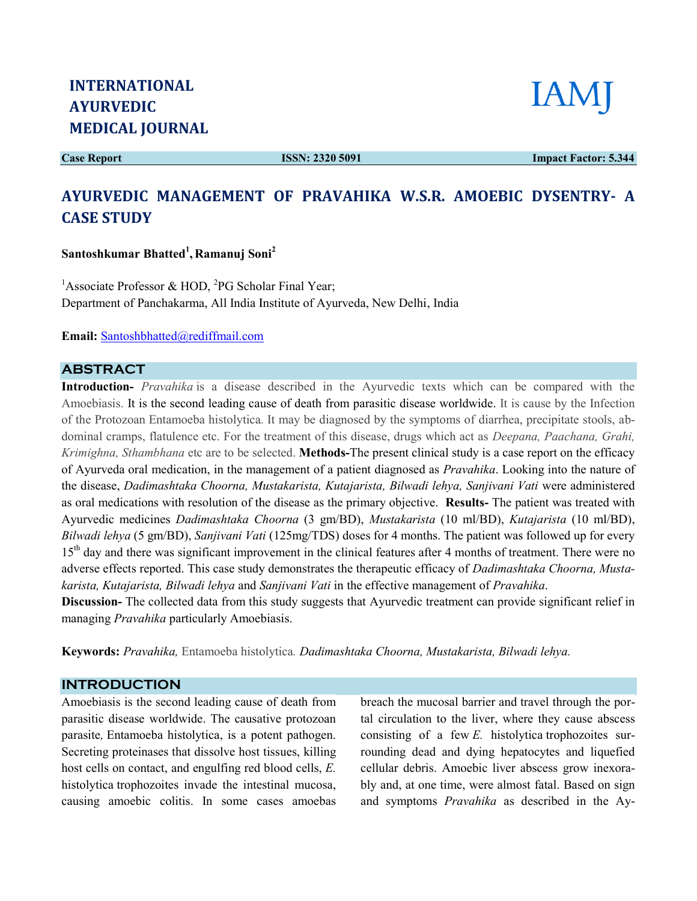Case Report

ISSN: 2320 5091

Impact Factor: 5.344

# AYURVEDIC MANAGEMENT OF PRAVAHIKA W.S.R. AMOEBIC DYSENTRY- A CASE STUDY

Santoshkumar Bhatted<sup>1</sup>, Ramanuj Soni<sup>2</sup>

<sup>1</sup>Associate Professor & HOD, <sup>2</sup>PG Scholar Final Year; Department of Panchakarma, All India Institute of Ayurveda, New Delhi, India

Email: Santoshbhatted@rediffmail.com

### ABSTRACT

Introduction- *Pravahika* is a disease described in the Ayurvedic texts which can be compared with the Amoebiasis. It is the second leading cause of death from parasitic disease worldwide. It is cause by the Infection of the Protozoan Entamoeba histolytica. It may be diagnosed by the symptoms of diarrhea, precipitate stools, abdominal cramps, flatulence etc. For the treatment of this disease, drugs which act as Deepana, Paachana, Grahi, Krimighna, Sthambhana etc are to be selected. Methods-The present clinical study is a case report on the efficacy of Ayurveda oral medication, in the management of a patient diagnosed as Pravahika. Looking into the nature of the disease, Dadimashtaka Choorna, Mustakarista, Kutajarista, Bilwadi lehya, Sanjivani Vati were administered as oral medications with resolution of the disease as the primary objective. Results- The patient was treated with Ayurvedic medicines Dadimashtaka Choorna (3 gm/BD), Mustakarista (10 ml/BD), Kutajarista (10 ml/BD), Bilwadi lehya (5 gm/BD), Sanjivani Vati (125mg/TDS) doses for 4 months. The patient was followed up for every 15<sup>th</sup> day and there was significant improvement in the clinical features after 4 months of treatment. There were no adverse effects reported. This case study demonstrates the therapeutic efficacy of *Dadimashtaka Choorna*, Mustakarista, Kutajarista, Bilwadi lehya and Sanjivani Vati in the effective management of Pravahika.

Discussion- The collected data from this study suggests that Ayurvedic treatment can provide significant relief in managing Pravahika particularly Amoebiasis.

Keywords: Pravahika, Entamoeba histolytica. Dadimashtaka Choorna, Mustakarista, Bilwadi lehya.

#### INTRODUCTION

Amoebiasis is the second leading cause of death from<br>parasitic disease worldwide. The causative protozoan<br>parasite, Entamoeba histolytica, is a potent pathogen.<br>Secreting proteinases that dissolve host tissues, killing parasitic disease worldwide. The causative protozoan parasite, Entamoeba histolytica, is a potent pathogen. Secreting proteinases that dissolve host tissues, killing host cells on contact, and engulfing red blood cells,  $E$ . histolytica trophozoites invade the intestinal mucosa, causing amoebic colitis. In some cases amoebas Amoebiasis is the second leading cause of death from breach the mucosal barrier and travel through the por<br>parasitic disease worldwide. The causative protozoan tal circulation to the liver, where they cause absces<br>parasit

tal circulation to the liver, where they cause abscess consisting of a few  $E$ . histolytica trophozoites surrounding dead and dying hepatocytes and liquefied cellular debris. Amoebic liver abscess grow inexorably and, at one time, were almost fatal. Based on sign and symptoms Pravahika as described in the Aybreach the mucosal barrier and travel through the por-

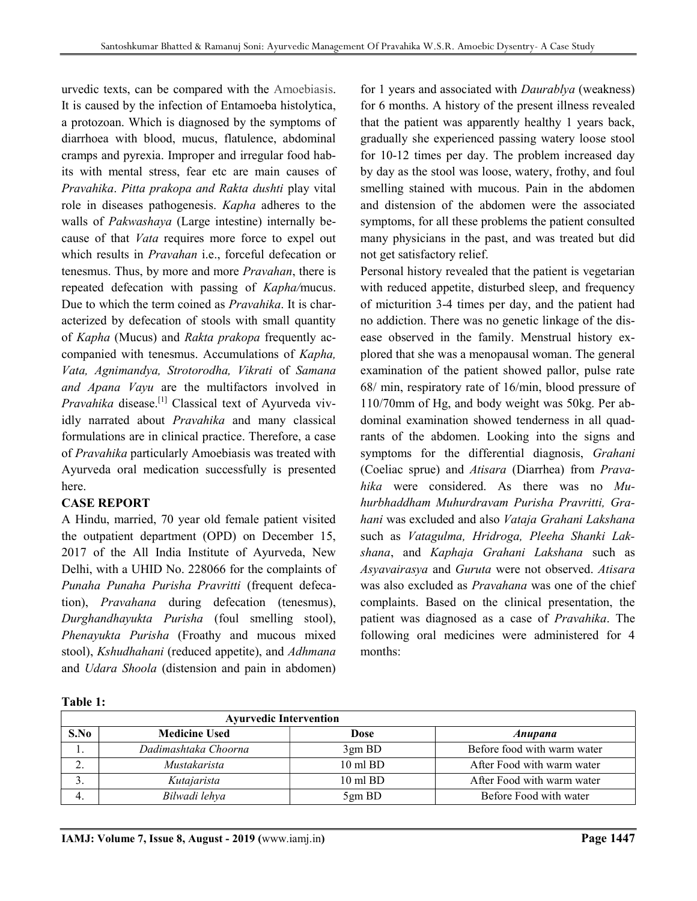urvedic texts, can be compared with the Amoebiasis. It is caused by the infection of Entamoeba histolytica, a protozoan. Which is diagnosed by the symptoms of diarrhoea with blood, mucus, flatulence, abdominal cramps and pyrexia. Improper and irregular food habits with mental stress, fear etc are main causes of Pravahika. Pitta prakopa and Rakta dushti play vital role in diseases pathogenesis. Kapha adheres to the walls of Pakwashaya (Large intestine) internally because of that Vata requires more force to expel out which results in *Pravahan* i.e., forceful defecation or tenesmus. Thus, by more and more Pravahan, there is repeated defecation with passing of Kapha/mucus. Due to which the term coined as Pravahika. It is characterized by defecation of stools with small quantity of Kapha (Mucus) and Rakta prakopa frequently accompanied with tenesmus. Accumulations of Kapha, Vata, Agnimandya, Strotorodha, Vikrati of Samana and Apana Vayu are the multifactors involved in Pravahika disease.<sup>[1]</sup> Classical text of Ayurveda vividly narrated about Pravahika and many classical formulations are in clinical practice. Therefore, a case of Pravahika particularly Amoebiasis was treated with Ayurveda oral medication successfully is presented here.

# CASE REPORT

A Hindu, married, 70 year old female patient visited the outpatient department (OPD) on December 15, 2017 of the All India Institute of Ayurveda, New Delhi, with a UHID No. 228066 for the complaints of Punaha Punaha Purisha Pravritti (frequent defecation), Pravahana during defecation (tenesmus), Durghandhayukta Purisha (foul smelling stool), Phenayukta Purisha (Froathy and mucous mixed stool), Kshudhahani (reduced appetite), and Adhmana and Udara Shoola (distension and pain in abdomen) for 1 years and associated with Daurablya (weakness) for 6 months. A history of the present illness revealed that the patient was apparently healthy 1 years back, gradually she experienced passing watery loose stool for 10-12 times per day. The problem increased day by day as the stool was loose, watery, frothy, and foul smelling stained with mucous. Pain in the abdomen and distension of the abdomen were the associated symptoms, for all these problems the patient consulted many physicians in the past, and was treated but did not get satisfactory relief.

Personal history revealed that the patient is vegetarian with reduced appetite, disturbed sleep, and frequency of micturition 3-4 times per day, and the patient had no addiction. There was no genetic linkage of the disease observed in the family. Menstrual history explored that she was a menopausal woman. The general examination of the patient showed pallor, pulse rate 68/ min, respiratory rate of 16/min, blood pressure of 110/70mm of Hg, and body weight was 50kg. Per abdominal examination showed tenderness in all quadrants of the abdomen. Looking into the signs and symptoms for the differential diagnosis, Grahani (Coeliac sprue) and Atisara (Diarrhea) from Pravahika were considered. As there was no Muhurbhaddham Muhurdravam Purisha Pravritti, Grahani was excluded and also Vataja Grahani Lakshana such as Vatagulma, Hridroga, Pleeha Shanki Lakshana, and Kaphaja Grahani Lakshana such as Asyavairasya and Guruta were not observed. Atisara was also excluded as Pravahana was one of the chief complaints. Based on the clinical presentation, the patient was diagnosed as a case of Pravahika. The following oral medicines were administered for 4 months:

|  | Гable− |  |
|--|--------|--|
|--|--------|--|

| <b>Ayurvedic Intervention</b> |                      |                     |                             |  |  |  |  |  |
|-------------------------------|----------------------|---------------------|-----------------------------|--|--|--|--|--|
| S.No                          | <b>Medicine Used</b> | Dose                | Anupana                     |  |  |  |  |  |
| .,                            | Dadimashtaka Choorna | 3gm BD              | Before food with warm water |  |  |  |  |  |
|                               | Mustakarista         | $10 \text{ ml } BD$ | After Food with warm water  |  |  |  |  |  |
|                               | Kutajarista          | $10 \text{ ml } BD$ | After Food with warm water  |  |  |  |  |  |
|                               | Bilwadi lehya        | 5gm BD              | Before Food with water      |  |  |  |  |  |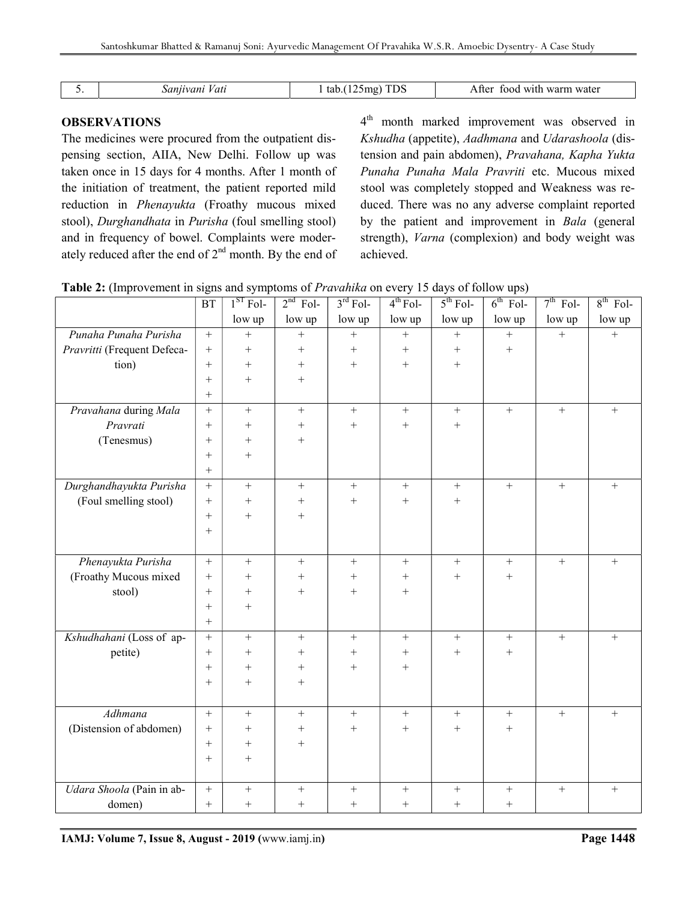| Vat<br>$. \eta n \nu$ | <b>TDS</b><br>mo:۱<br>1 tab.(<br>, 140. . | u with warm water<br>A ffer<br>tood |
|-----------------------|-------------------------------------------|-------------------------------------|
|                       |                                           |                                     |

# **OBSERVATIONS**

The medicines were procured from the outpatient dispensing section, AIIA, New Delhi. Follow up was taken once in 15 days for 4 months. After 1 month of the initiation of treatment, the patient reported mild reduction in Phenayukta (Froathy mucous mixed stool), Durghandhata in Purisha (foul smelling stool) and in frequency of bowel. Complaints were moderately reduced after the end of 2nd month. By the end of

4<sup>th</sup> month marked improvement was observed in Kshudha (appetite), Aadhmana and Udarashoola (distension and pain abdomen), Pravahana, Kapha Yukta Punaha Punaha Mala Pravriti etc. Mucous mixed stool was completely stopped and Weakness was reduced. There was no any adverse complaint reported by the patient and improvement in Bala (general strength), Varna (complexion) and body weight was achieved.

|  |  |  | <b>Table 2:</b> (Improvement in signs and symptoms of <i>Pravahika</i> on every 15 days of follow ups) |
|--|--|--|--------------------------------------------------------------------------------------------------------|
|  |  |  |                                                                                                        |

|                             | $\operatorname{BT}$ | $1ST$ Fol-        | $2nd$ Fol-       | $3rd$ Fol-       | $4th$ Fol-        | $5th$ Fol-       | $6th$ Fol-       | $7th$ Fol-       | $8th$ Fol-       |
|-----------------------------|---------------------|-------------------|------------------|------------------|-------------------|------------------|------------------|------------------|------------------|
|                             |                     | low up            | low up           | low up           | low up            | low up           | low up           | low up           | low up           |
| Punaha Punaha Purisha       | $\, +$              | $\ddot{}$         | $\boldsymbol{+}$ | $\ddot{}$        | $\qquad \qquad +$ | $\boldsymbol{+}$ | $\ddot{}$        | $\ddot{}$        | $\boldsymbol{+}$ |
| Pravritti (Frequent Defeca- | $^{+}$              | $+$               | $\boldsymbol{+}$ | $\boldsymbol{+}$ | $\boldsymbol{+}$  | $\boldsymbol{+}$ | $\boldsymbol{+}$ |                  |                  |
| tion)                       | $+$                 | $\boldsymbol{+}$  | $\! + \!$        | $\boldsymbol{+}$ | $\boldsymbol{+}$  | $\boldsymbol{+}$ |                  |                  |                  |
|                             | $^{+}$              | $+$               |                  |                  |                   |                  |                  |                  |                  |
|                             | $+$                 |                   |                  |                  |                   |                  |                  |                  |                  |
| Pravahana during Mala       | $+$                 | $\boldsymbol{+}$  | $\boldsymbol{+}$ | $\boldsymbol{+}$ | $\boldsymbol{+}$  | $\boldsymbol{+}$ | $\boldsymbol{+}$ | $\boldsymbol{+}$ | $\boldsymbol{+}$ |
| Pravrati                    | $+$                 | $+$               | $+$              | $\boldsymbol{+}$ | $\boldsymbol{+}$  | $+$              |                  |                  |                  |
| (Tenesmus)                  | $^{+}$              | $+$               | $\boldsymbol{+}$ |                  |                   |                  |                  |                  |                  |
|                             | $+$                 | $+$               |                  |                  |                   |                  |                  |                  |                  |
|                             | $+$                 |                   |                  |                  |                   |                  |                  |                  |                  |
| Durghandhayukta Purisha     | $+ \nonumber$       | $\boldsymbol{+}$  | $\boldsymbol{+}$ | $\! + \!\!\!\!$  | $\boldsymbol{+}$  | $\boldsymbol{+}$ | $\boldsymbol{+}$ | $\boldsymbol{+}$ | $\boldsymbol{+}$ |
| (Foul smelling stool)       | $^{+}$              | $+$               | $\boldsymbol{+}$ | $\! + \!\!\!\!$  | $^{+}$            | $\boldsymbol{+}$ |                  |                  |                  |
|                             | $+$                 | $+$               | $\boldsymbol{+}$ |                  |                   |                  |                  |                  |                  |
|                             | $+$                 |                   |                  |                  |                   |                  |                  |                  |                  |
|                             |                     |                   |                  |                  |                   |                  |                  |                  |                  |
| Phenayukta Purisha          | $+$                 | $\boldsymbol{+}$  | $\boldsymbol{+}$ | $+$              | $\boldsymbol{+}$  | $+$              | $+$              | $\boldsymbol{+}$ | $+$              |
| (Froathy Mucous mixed       | $^{+}$              | $^{+}$            |                  | $^{+}$           | $^{+}$            | $\boldsymbol{+}$ | $^{+}$           |                  |                  |
| stool)                      | $+$                 | $+$               | $+$              | $\boldsymbol{+}$ | $+$               |                  |                  |                  |                  |
|                             | $+$                 | $+$               |                  |                  |                   |                  |                  |                  |                  |
|                             | $+$                 |                   |                  |                  |                   |                  |                  |                  |                  |
| Kshudhahani (Loss of ap-    | $+$                 | $\bar{+}$         | $\boldsymbol{+}$ | $\boldsymbol{+}$ | $\boldsymbol{+}$  | $\boldsymbol{+}$ | $\boldsymbol{+}$ | $\boldsymbol{+}$ | $\boldsymbol{+}$ |
| petite)                     | $+$                 | $^{+}$            | $^{+}$           | $^{+}$           | $\! + \!\!\!\!$   | $\boldsymbol{+}$ |                  |                  |                  |
|                             | $+$                 | $+$               | $\boldsymbol{+}$ | $\boldsymbol{+}$ | $\boldsymbol{+}$  |                  |                  |                  |                  |
|                             | $^{+}$              | $^{+}$            | $^{+}$           |                  |                   |                  |                  |                  |                  |
|                             |                     |                   |                  |                  |                   |                  |                  |                  |                  |
| Adhmana                     | $\boldsymbol{+}$    | $\bar{+}$         | $\boldsymbol{+}$ | $\boldsymbol{+}$ | $\boldsymbol{+}$  | $\boldsymbol{+}$ | $\boldsymbol{+}$ | $\boldsymbol{+}$ | $\boldsymbol{+}$ |
| (Distension of abdomen)     | $+$                 | $^{+}$            | $\boldsymbol{+}$ | $\! + \!\!\!\!$  | $+$               | $+$              | $^{+}$           |                  |                  |
|                             | $+$                 | $\qquad \qquad +$ | $\boldsymbol{+}$ |                  |                   |                  |                  |                  |                  |
|                             | $^{+}$              | $+$               |                  |                  |                   |                  |                  |                  |                  |
|                             |                     |                   |                  |                  |                   |                  |                  |                  |                  |
| Udara Shoola (Pain in ab-   | $\boldsymbol{+}$    | $\boldsymbol{+}$  | $\boldsymbol{+}$ | $\boldsymbol{+}$ | $\boldsymbol{+}$  | $\boldsymbol{+}$ | $\! + \!\!\!\!$  | $\boldsymbol{+}$ | $\boldsymbol{+}$ |
| domen)                      | $^{+}$              | $+$               | $+$              | $+$              | $+$               | $+$              | $+$              |                  |                  |